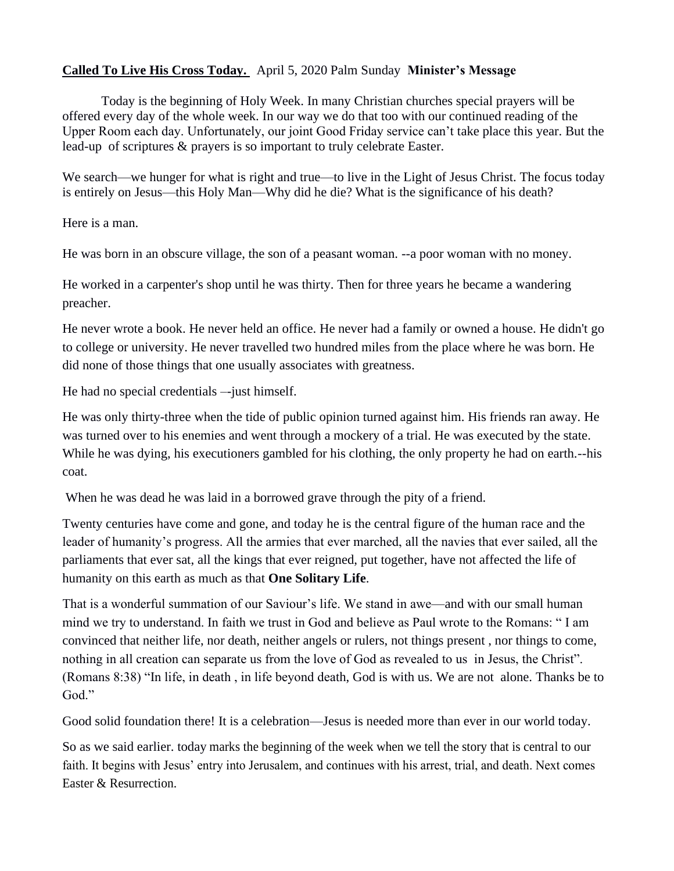## **Called To Live His Cross Today.** April 5, 2020 Palm Sunday **Minister's Message**

Today is the beginning of Holy Week. In many Christian churches special prayers will be offered every day of the whole week. In our way we do that too with our continued reading of the Upper Room each day. Unfortunately, our joint Good Friday service can't take place this year. But the lead-up of scriptures & prayers is so important to truly celebrate Easter.

We search—we hunger for what is right and true—to live in the Light of Jesus Christ. The focus today is entirely on Jesus—this Holy Man—Why did he die? What is the significance of his death?

Here is a man.

He was born in an obscure village, the son of a peasant woman. --a poor woman with no money.

He worked in a carpenter's shop until he was thirty. Then for three years he became a wandering preacher.

He never wrote a book. He never held an office. He never had a family or owned a house. He didn't go to college or university. He never travelled two hundred miles from the place where he was born. He did none of those things that one usually associates with greatness.

He had no special credentials –-just himself.

He was only thirty-three when the tide of public opinion turned against him. His friends ran away. He was turned over to his enemies and went through a mockery of a trial. He was executed by the state. While he was dying, his executioners gambled for his clothing, the only property he had on earth.--his coat.

When he was dead he was laid in a borrowed grave through the pity of a friend.

Twenty centuries have come and gone, and today he is the central figure of the human race and the leader of humanity's progress. All the armies that ever marched, all the navies that ever sailed, all the parliaments that ever sat, all the kings that ever reigned, put together, have not affected the life of humanity on this earth as much as that **One Solitary Life**.

That is a wonderful summation of our Saviour's life. We stand in awe—and with our small human mind we try to understand. In faith we trust in God and believe as Paul wrote to the Romans: " I am convinced that neither life, nor death, neither angels or rulers, not things present , nor things to come, nothing in all creation can separate us from the love of God as revealed to us in Jesus, the Christ". (Romans 8:38) "In life, in death , in life beyond death, God is with us. We are not alone. Thanks be to God."

Good solid foundation there! It is a celebration—Jesus is needed more than ever in our world today.

So as we said earlier. today marks the beginning of the week when we tell the story that is central to our faith. It begins with Jesus' entry into Jerusalem, and continues with his arrest, trial, and death. Next comes Easter & Resurrection.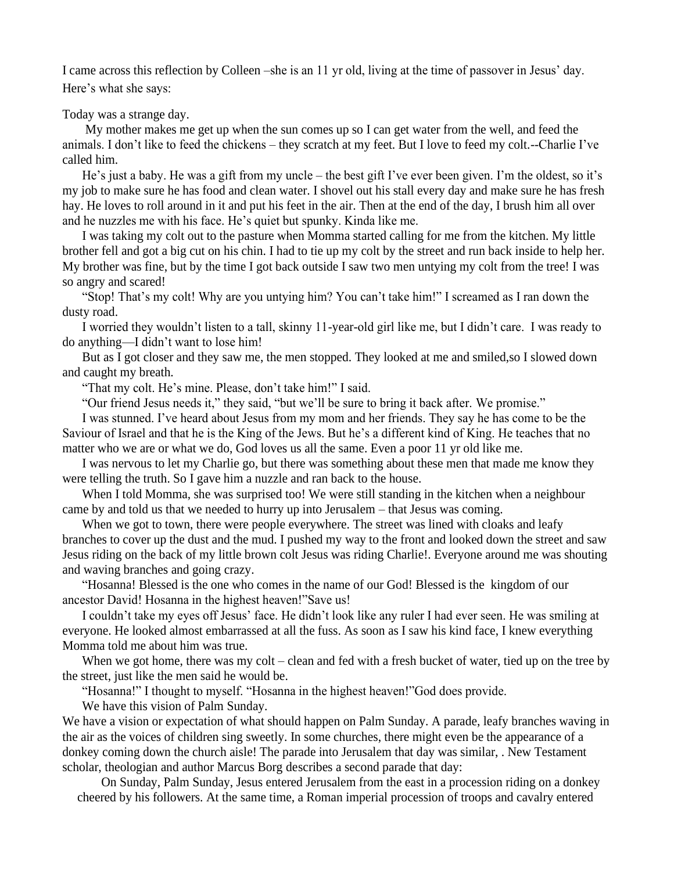I came across this reflection by Colleen –she is an 11 yr old, living at the time of passover in Jesus' day.

Here's what she says:

Today was a strange day.

My mother makes me get up when the sun comes up so I can get water from the well, and feed the animals. I don't like to feed the chickens – they scratch at my feet. But I love to feed my colt.--Charlie I've called him.

He's just a baby. He was a gift from my uncle – the best gift I've ever been given. I'm the oldest, so it's my job to make sure he has food and clean water. I shovel out his stall every day and make sure he has fresh hay. He loves to roll around in it and put his feet in the air. Then at the end of the day, I brush him all over and he nuzzles me with his face. He's quiet but spunky. Kinda like me.

I was taking my colt out to the pasture when Momma started calling for me from the kitchen. My little brother fell and got a big cut on his chin. I had to tie up my colt by the street and run back inside to help her. My brother was fine, but by the time I got back outside I saw two men untying my colt from the tree! I was so angry and scared!

"Stop! That's my colt! Why are you untying him? You can't take him!" I screamed as I ran down the dusty road.

I worried they wouldn't listen to a tall, skinny 11-year-old girl like me, but I didn't care. I was ready to do anything—I didn't want to lose him!

But as I got closer and they saw me, the men stopped. They looked at me and smiled,so I slowed down and caught my breath.

"That my colt. He's mine. Please, don't take him!" I said.

"Our friend Jesus needs it," they said, "but we'll be sure to bring it back after. We promise."

I was stunned. I've heard about Jesus from my mom and her friends. They say he has come to be the Saviour of Israel and that he is the King of the Jews. But he's a different kind of King. He teaches that no matter who we are or what we do, God loves us all the same. Even a poor 11 yr old like me.

I was nervous to let my Charlie go, but there was something about these men that made me know they were telling the truth. So I gave him a nuzzle and ran back to the house.

When I told Momma, she was surprised too! We were still standing in the kitchen when a neighbour came by and told us that we needed to hurry up into Jerusalem – that Jesus was coming.

When we got to town, there were people everywhere. The street was lined with cloaks and leafy branches to cover up the dust and the mud. I pushed my way to the front and looked down the street and saw Jesus riding on the back of my little brown colt Jesus was riding Charlie!. Everyone around me was shouting and waving branches and going crazy.

"Hosanna! Blessed is the one who comes in the name of our God! Blessed is the kingdom of our ancestor David! Hosanna in the highest heaven!"Save us!

I couldn't take my eyes off Jesus' face. He didn't look like any ruler I had ever seen. He was smiling at everyone. He looked almost embarrassed at all the fuss. As soon as I saw his kind face, I knew everything Momma told me about him was true.

When we got home, there was my colt – clean and fed with a fresh bucket of water, tied up on the tree by the street, just like the men said he would be.

"Hosanna!" I thought to myself. "Hosanna in the highest heaven!"God does provide.

We have this vision of Palm Sunday.

We have a vision or expectation of what should happen on Palm Sunday. A parade, leafy branches waving in the air as the voices of children sing sweetly. In some churches, there might even be the appearance of a donkey coming down the church aisle! The parade into Jerusalem that day was similar, . New Testament scholar, theologian and author Marcus Borg describes a second parade that day:

On Sunday, Palm Sunday, Jesus entered Jerusalem from the east in a procession riding on a donkey cheered by his followers. At the same time, a Roman imperial procession of troops and cavalry entered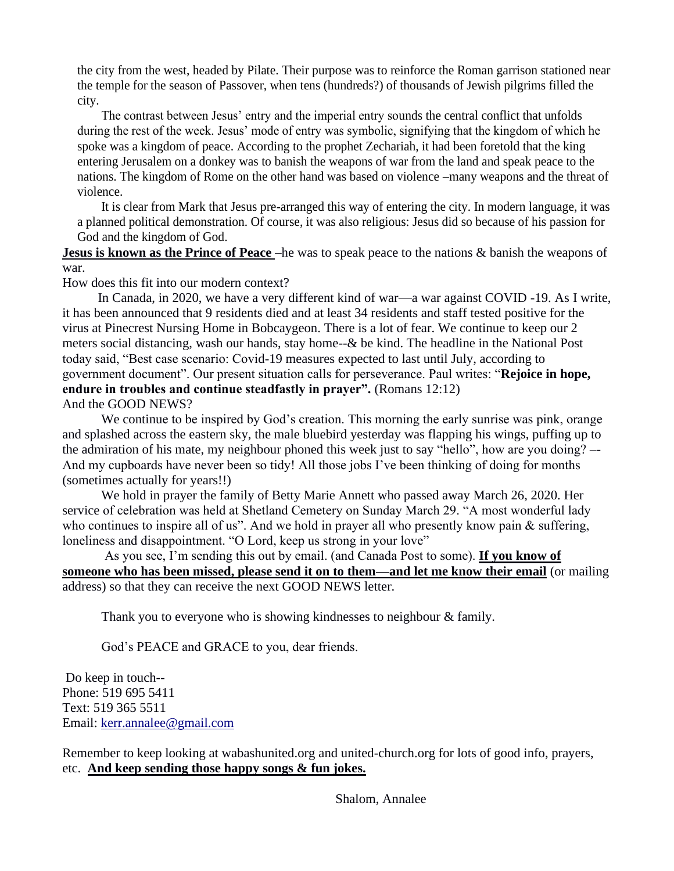the city from the west, headed by Pilate. Their purpose was to reinforce the Roman garrison stationed near the temple for the season of Passover, when tens (hundreds?) of thousands of Jewish pilgrims filled the city.

The contrast between Jesus' entry and the imperial entry sounds the central conflict that unfolds during the rest of the week. Jesus' mode of entry was symbolic, signifying that the kingdom of which he spoke was a kingdom of peace. According to the prophet Zechariah, it had been foretold that the king entering Jerusalem on a donkey was to banish the weapons of war from the land and speak peace to the nations. The kingdom of Rome on the other hand was based on violence –many weapons and the threat of violence.

It is clear from Mark that Jesus pre-arranged this way of entering the city. In modern language, it was a planned political demonstration. Of course, it was also religious: Jesus did so because of his passion for God and the kingdom of God.

**Jesus is known as the Prince of Peace** –he was to speak peace to the nations & banish the weapons of war.

How does this fit into our modern context?

In Canada, in 2020, we have a very different kind of war—a war against COVID -19. As I write, it has been announced that 9 residents died and at least 34 residents and staff tested positive for the virus at Pinecrest Nursing Home in Bobcaygeon. There is a lot of fear. We continue to keep our 2 meters social distancing, wash our hands, stay home--& be kind. The headline in the National Post today said, "Best case scenario: Covid-19 measures expected to last until July, according to government document". Our present situation calls for perseverance. Paul writes: "**Rejoice in hope, endure in troubles and continue steadfastly in prayer".** (Romans 12:12) And the GOOD NEWS?

We continue to be inspired by God's creation. This morning the early sunrise was pink, orange and splashed across the eastern sky, the male bluebird yesterday was flapping his wings, puffing up to the admiration of his mate, my neighbour phoned this week just to say "hello", how are you doing? –- And my cupboards have never been so tidy! All those jobs I've been thinking of doing for months (sometimes actually for years!!)

We hold in prayer the family of Betty Marie Annett who passed away March 26, 2020. Her service of celebration was held at Shetland Cemetery on Sunday March 29. "A most wonderful lady who continues to inspire all of us". And we hold in prayer all who presently know pain & suffering, loneliness and disappointment. "O Lord, keep us strong in your love"

As you see, I'm sending this out by email. (and Canada Post to some). **If you know of someone who has been missed, please send it on to them—and let me know their email** (or mailing address) so that they can receive the next GOOD NEWS letter.

Thank you to everyone who is showing kindnesses to neighbour & family.

God's PEACE and GRACE to you, dear friends.

Do keep in touch-- Phone: 519 695 5411 Text: 519 365 5511 Email: [kerr.annalee@gmail.com](mailto:kerr.annalee@gmail.com)

Remember to keep looking at wabashunited.org and united-church.org for lots of good info, prayers, etc. **And keep sending those happy songs & fun jokes.**

Shalom, Annalee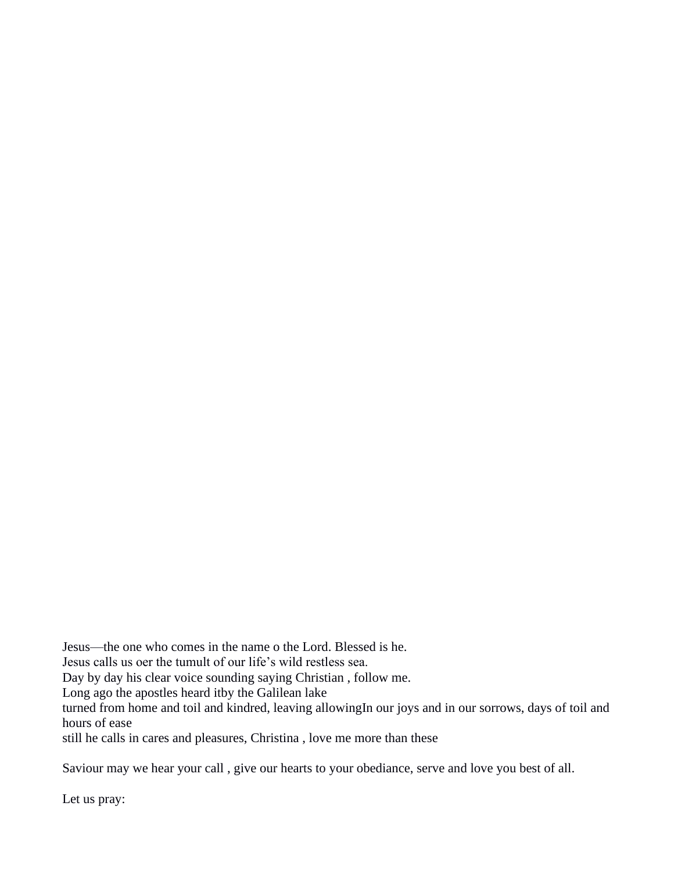Jesus—the one who comes in the name o the Lord. Blessed is he.

Jesus calls us oer the tumult of our life's wild restless sea.

Day by day his clear voice sounding saying Christian , follow me.

Long ago the apostles heard itby the Galilean lake

turned from home and toil and kindred, leaving allowingIn our joys and in our sorrows, days of toil and hours of ease

still he calls in cares and pleasures, Christina , love me more than these

Saviour may we hear your call , give our hearts to your obediance, serve and love you best of all.

Let us pray: